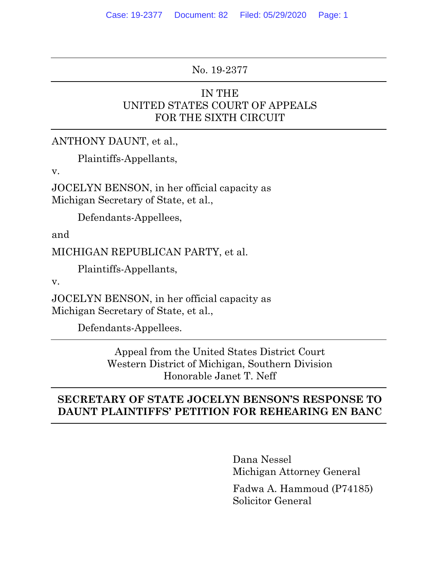#### No. 19-2377

### IN THE UNITED STATES COURT OF APPEALS FOR THE SIXTH CIRCUIT

ANTHONY DAUNT, et al.,

Plaintiffs-Appellants,

v.

JOCELYN BENSON, in her official capacity as Michigan Secretary of State, et al.,

Defendants-Appellees,

and

MICHIGAN REPUBLICAN PARTY, et al.

Plaintiffs-Appellants,

v.

JOCELYN BENSON, in her official capacity as Michigan Secretary of State, et al.,

Defendants-Appellees.

Appeal from the United States District Court Western District of Michigan, Southern Division Honorable Janet T. Neff

## **SECRETARY OF STATE JOCELYN BENSON'S RESPONSE TO DAUNT PLAINTIFFS' PETITION FOR REHEARING EN BANC**

Dana Nessel Michigan Attorney General

Fadwa A. Hammoud (P74185) Solicitor General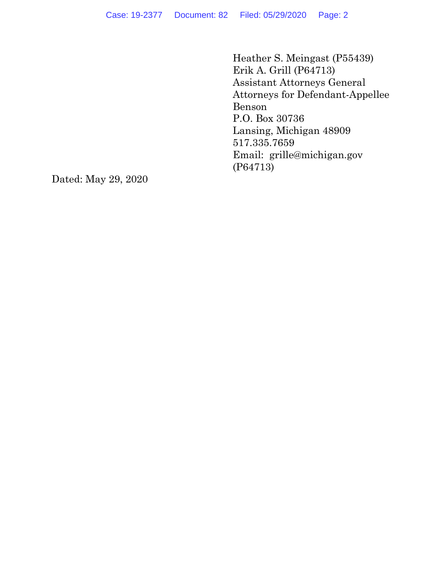Heather S. Meingast (P55439) Erik A. Grill (P64713) Assistant Attorneys General Attorneys for Defendant-Appellee Benson P.O. Box 30736 Lansing, Michigan 48909 517.335.7659 Email: grille@michigan.gov (P64713)

Dated: May 29, 2020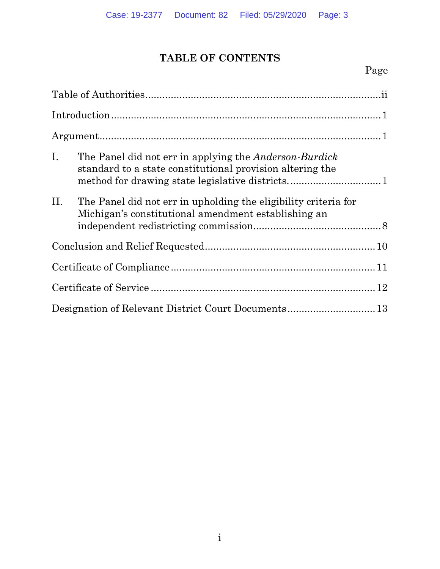# **TABLE OF CONTENTS**

## Page

| I.  | The Panel did not err in applying the <i>Anderson-Burdick</i><br>standard to a state constitutional provision altering the<br>method for drawing state legislative districts1 |  |  |  |
|-----|-------------------------------------------------------------------------------------------------------------------------------------------------------------------------------|--|--|--|
| II. | The Panel did not err in upholding the eligibility criteria for<br>Michigan's constitutional amendment establishing an                                                        |  |  |  |
|     |                                                                                                                                                                               |  |  |  |
|     |                                                                                                                                                                               |  |  |  |
|     |                                                                                                                                                                               |  |  |  |
|     |                                                                                                                                                                               |  |  |  |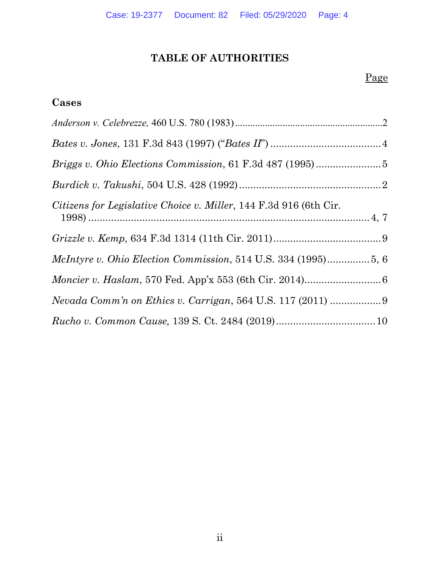# **TABLE OF AUTHORITIES**

## Page

### <span id="page-3-0"></span>**Cases**

| Citizens for Legislative Choice v. Miller, 144 F.3d 916 (6th Cir. |  |
|-------------------------------------------------------------------|--|
|                                                                   |  |
|                                                                   |  |
|                                                                   |  |
|                                                                   |  |
|                                                                   |  |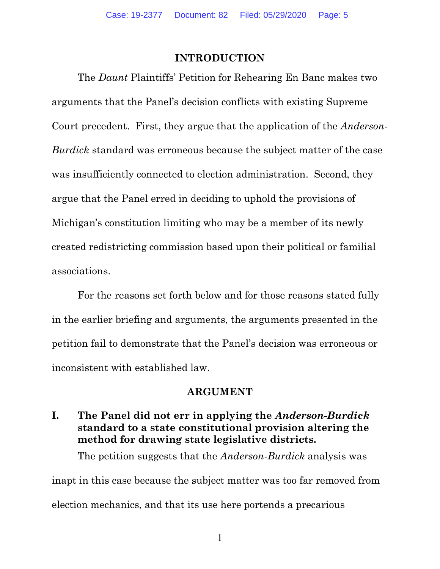#### **INTRODUCTION**

<span id="page-4-0"></span>The *Daunt* Plaintiffs' Petition for Rehearing En Banc makes two arguments that the Panel's decision conflicts with existing Supreme Court precedent. First, they argue that the application of the *Anderson-Burdick* standard was erroneous because the subject matter of the case was insufficiently connected to election administration. Second, they argue that the Panel erred in deciding to uphold the provisions of Michigan's constitution limiting who may be a member of its newly created redistricting commission based upon their political or familial associations.

For the reasons set forth below and for those reasons stated fully in the earlier briefing and arguments, the arguments presented in the petition fail to demonstrate that the Panel's decision was erroneous or inconsistent with established law.

#### **ARGUMENT**

## <span id="page-4-2"></span><span id="page-4-1"></span>**I. The Panel did not err in applying the** *Anderson-Burdick*  **standard to a state constitutional provision altering the method for drawing state legislative districts.**

The petition suggests that the *Anderson-Burdick* analysis was inapt in this case because the subject matter was too far removed from election mechanics, and that its use here portends a precarious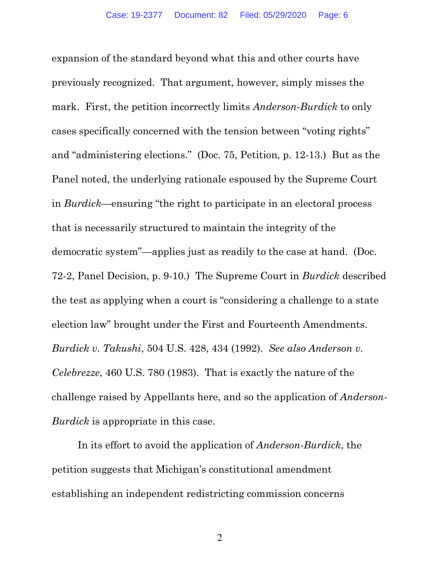expansion of the standard beyond what this and other courts have previously recognized. That argument, however, simply misses the mark. First, the petition incorrectly limits *Anderson-Burdick* to only cases specifically concerned with the tension between "voting rights" and "administering elections." (Doc. 75, Petition, p. 12-13.) But as the Panel noted, the underlying rationale espoused by the Supreme Court in *Burdick*—ensuring "the right to participate in an electoral process that is necessarily structured to maintain the integrity of the democratic system"—applies just as readily to the case at hand. (Doc. 72-2, Panel Decision, p. 9-10.) The Supreme Court in *Burdick* described the test as applying when a court is "considering a challenge to a state election law" brought under the First and Fourteenth Amendments. *Burdick v. Takushi*, 504 U.S. 428, 434 (1992). *See also Anderson v. Celebrezze*, 460 U.S. 780 (1983). That is exactly the nature of the challenge raised by Appellants here, and so the application of *Anderson-Burdick* is appropriate in this case.

In its effort to avoid the application of *Anderson-Burdick*, the petition suggests that Michigan's constitutional amendment establishing an independent redistricting commission concerns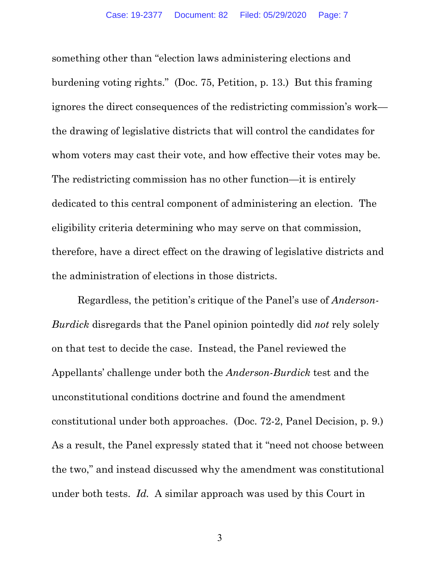something other than "election laws administering elections and burdening voting rights." (Doc. 75, Petition, p. 13.) But this framing ignores the direct consequences of the redistricting commission's work the drawing of legislative districts that will control the candidates for whom voters may cast their vote, and how effective their votes may be. The redistricting commission has no other function—it is entirely dedicated to this central component of administering an election. The eligibility criteria determining who may serve on that commission, therefore, have a direct effect on the drawing of legislative districts and the administration of elections in those districts.

Regardless, the petition's critique of the Panel's use of *Anderson-Burdick* disregards that the Panel opinion pointedly did *not* rely solely on that test to decide the case. Instead, the Panel reviewed the Appellants' challenge under both the *Anderson-Burdick* test and the unconstitutional conditions doctrine and found the amendment constitutional under both approaches. (Doc. 72-2, Panel Decision, p. 9.) As a result, the Panel expressly stated that it "need not choose between the two," and instead discussed why the amendment was constitutional under both tests. *Id.* A similar approach was used by this Court in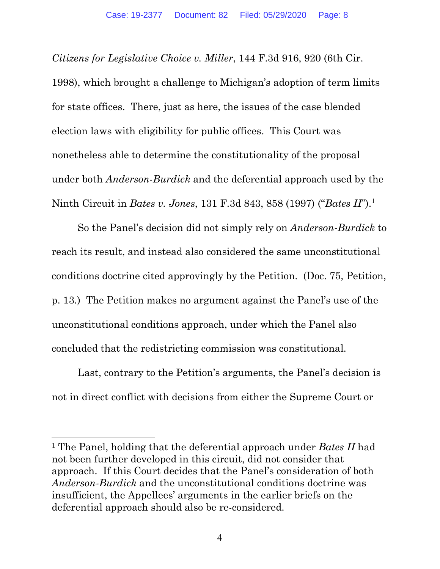*Citizens for Legislative Choice v. Miller*, 144 F.3d 916, 920 (6th Cir.

1998), which brought a challenge to Michigan's adoption of term limits for state offices. There, just as here, the issues of the case blended election laws with eligibility for public offices. This Court was nonetheless able to determine the constitutionality of the proposal under both *Anderson-Burdick* and the deferential approach used by the Ninth Circuit in *Bates v. Jones*, 131 F.3d 843, 858 (1997) ("*Bates II*"). [1](#page-7-0)

So the Panel's decision did not simply rely on *Anderson-Burdick* to reach its result, and instead also considered the same unconstitutional conditions doctrine cited approvingly by the Petition. (Doc. 75, Petition, p. 13.) The Petition makes no argument against the Panel's use of the unconstitutional conditions approach, under which the Panel also concluded that the redistricting commission was constitutional.

Last, contrary to the Petition's arguments, the Panel's decision is not in direct conflict with decisions from either the Supreme Court or

<span id="page-7-0"></span><sup>1</sup> The Panel, holding that the deferential approach under *Bates II* had not been further developed in this circuit, did not consider that approach. If this Court decides that the Panel's consideration of both *Anderson-Burdick* and the unconstitutional conditions doctrine was insufficient, the Appellees' arguments in the earlier briefs on the deferential approach should also be re-considered.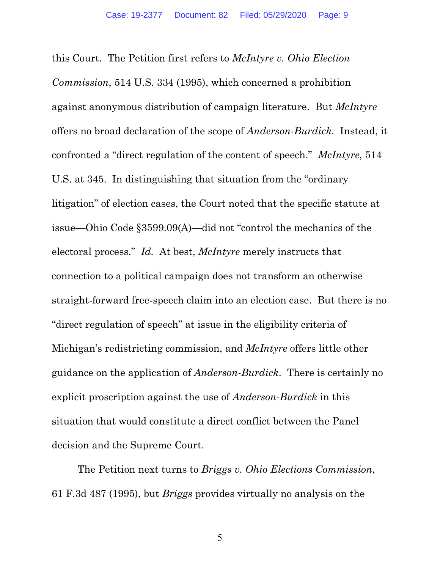this Court. The Petition first refers to *McIntyre v. Ohio Election Commission*, 514 U.S. 334 (1995), which concerned a prohibition against anonymous distribution of campaign literature. But *McIntyre* offers no broad declaration of the scope of *Anderson-Burdick*. Instead, it confronted a "direct regulation of the content of speech." *McIntyre*, 514 U.S. at 345. In distinguishing that situation from the "ordinary litigation" of election cases, the Court noted that the specific statute at issue—Ohio Code §3599.09(A)—did not "control the mechanics of the electoral process." *Id.* At best, *McIntyre* merely instructs that connection to a political campaign does not transform an otherwise straight-forward free-speech claim into an election case. But there is no "direct regulation of speech" at issue in the eligibility criteria of Michigan's redistricting commission, and *McIntyre* offers little other guidance on the application of *Anderson-Burdick*. There is certainly no explicit proscription against the use of *Anderson-Burdick* in this situation that would constitute a direct conflict between the Panel decision and the Supreme Court.

The Petition next turns to *Briggs v. Ohio Elections Commission*, 61 F.3d 487 (1995), but *Briggs* provides virtually no analysis on the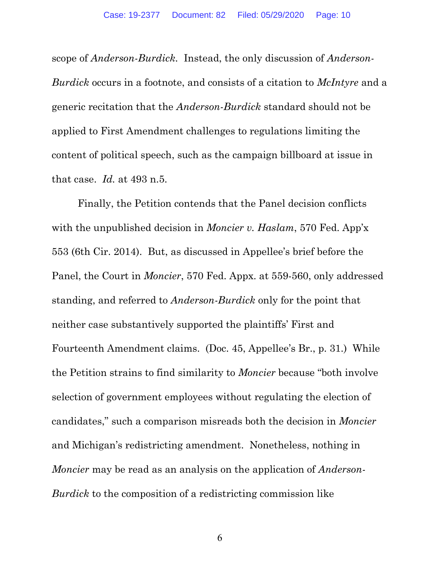scope of *Anderson-Burdick.* Instead, the only discussion of *Anderson-Burdick* occurs in a footnote, and consists of a citation to *McIntyre* and a generic recitation that the *Anderson-Burdick* standard should not be applied to First Amendment challenges to regulations limiting the content of political speech, such as the campaign billboard at issue in that case. *Id.* at 493 n.5.

Finally, the Petition contends that the Panel decision conflicts with the unpublished decision in *Moncier v. Haslam*, 570 Fed. App'x 553 (6th Cir. 2014). But, as discussed in Appellee's brief before the Panel, the Court in *Moncier*, 570 Fed. Appx. at 559-560, only addressed standing, and referred to *Anderson-Burdick* only for the point that neither case substantively supported the plaintiffs' First and Fourteenth Amendment claims. (Doc. 45, Appellee's Br., p. 31.) While the Petition strains to find similarity to *Moncier* because "both involve selection of government employees without regulating the election of candidates," such a comparison misreads both the decision in *Moncier* and Michigan's redistricting amendment. Nonetheless, nothing in *Moncier* may be read as an analysis on the application of *Anderson-Burdick* to the composition of a redistricting commission like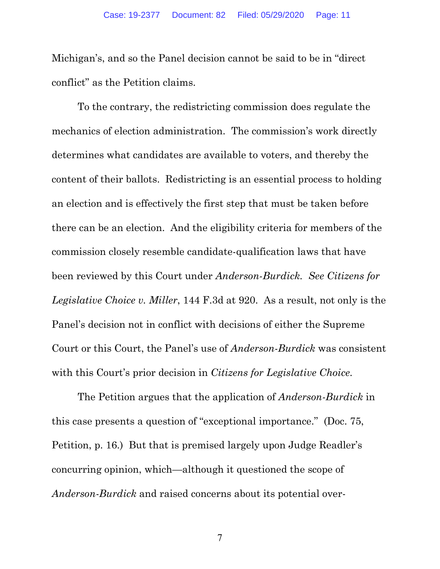Michigan's, and so the Panel decision cannot be said to be in "direct conflict" as the Petition claims.

To the contrary, the redistricting commission does regulate the mechanics of election administration. The commission's work directly determines what candidates are available to voters, and thereby the content of their ballots. Redistricting is an essential process to holding an election and is effectively the first step that must be taken before there can be an election. And the eligibility criteria for members of the commission closely resemble candidate-qualification laws that have been reviewed by this Court under *Anderson-Burdick. See Citizens for Legislative Choice v. Miller*, 144 F.3d at 920. As a result, not only is the Panel's decision not in conflict with decisions of either the Supreme Court or this Court, the Panel's use of *Anderson-Burdick* was consistent with this Court's prior decision in *Citizens for Legislative Choice.* 

The Petition argues that the application of *Anderson-Burdick* in this case presents a question of "exceptional importance." (Doc. 75, Petition, p. 16.) But that is premised largely upon Judge Readler's concurring opinion, which—although it questioned the scope of *Anderson-Burdick* and raised concerns about its potential over-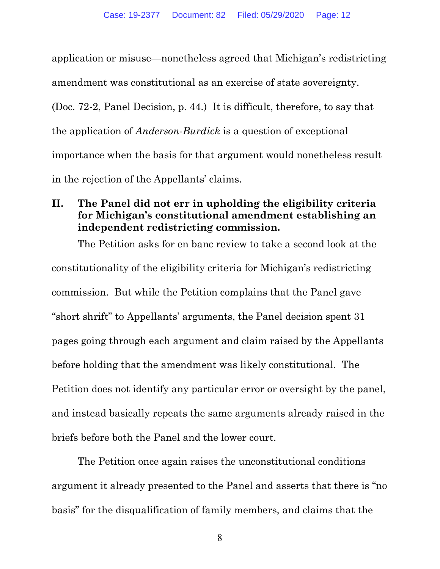application or misuse—nonetheless agreed that Michigan's redistricting amendment was constitutional as an exercise of state sovereignty. (Doc. 72-2, Panel Decision, p. 44.) It is difficult, therefore, to say that the application of *Anderson-Burdick* is a question of exceptional importance when the basis for that argument would nonetheless result in the rejection of the Appellants' claims.

## <span id="page-11-0"></span>**II. The Panel did not err in upholding the eligibility criteria for Michigan's constitutional amendment establishing an independent redistricting commission.**

The Petition asks for en banc review to take a second look at the constitutionality of the eligibility criteria for Michigan's redistricting commission. But while the Petition complains that the Panel gave "short shrift" to Appellants' arguments, the Panel decision spent 31 pages going through each argument and claim raised by the Appellants before holding that the amendment was likely constitutional. The Petition does not identify any particular error or oversight by the panel, and instead basically repeats the same arguments already raised in the briefs before both the Panel and the lower court.

The Petition once again raises the unconstitutional conditions argument it already presented to the Panel and asserts that there is "no basis" for the disqualification of family members, and claims that the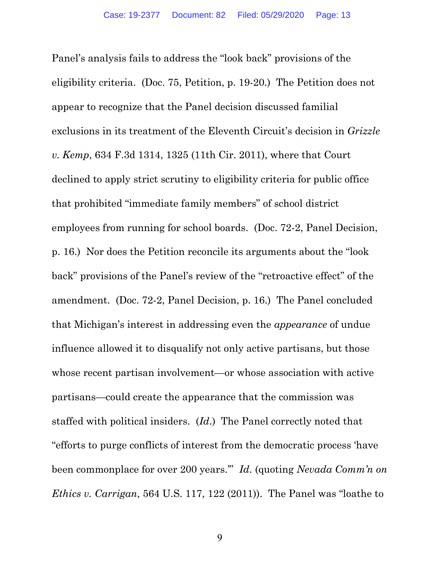Panel's analysis fails to address the "look back" provisions of the eligibility criteria. (Doc. 75, Petition, p. 19-20.) The Petition does not appear to recognize that the Panel decision discussed familial exclusions in its treatment of the Eleventh Circuit's decision in *Grizzle v. Kemp*, 634 F.3d 1314, 1325 (11th Cir. 2011), where that Court declined to apply strict scrutiny to eligibility criteria for public office that prohibited "immediate family members" of school district employees from running for school boards. (Doc. 72-2, Panel Decision, p. 16.) Nor does the Petition reconcile its arguments about the "look back" provisions of the Panel's review of the "retroactive effect" of the amendment. (Doc. 72-2, Panel Decision, p. 16.) The Panel concluded that Michigan's interest in addressing even the *appearance* of undue influence allowed it to disqualify not only active partisans, but those whose recent partisan involvement—or whose association with active partisans—could create the appearance that the commission was staffed with political insiders. (*Id*.) The Panel correctly noted that "efforts to purge conflicts of interest from the democratic process 'have been commonplace for over 200 years.'" *Id*. (quoting *Nevada Comm'n on Ethics v. Carrigan*, 564 U.S. 117, 122 (2011)). The Panel was "loathe to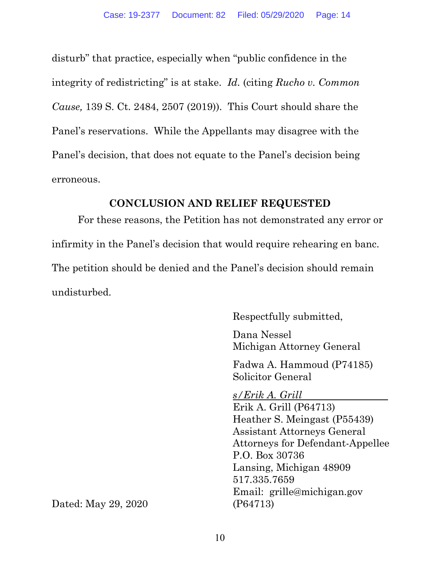disturb" that practice, especially when "public confidence in the integrity of redistricting" is at stake. *Id.* (citing *Rucho v. Common Cause,* 139 S. Ct. 2484, 2507 (2019)). This Court should share the Panel's reservations. While the Appellants may disagree with the Panel's decision, that does not equate to the Panel's decision being erroneous.

#### **CONCLUSION AND RELIEF REQUESTED**

<span id="page-13-0"></span>For these reasons, the Petition has not demonstrated any error or infirmity in the Panel's decision that would require rehearing en banc. The petition should be denied and the Panel's decision should remain undisturbed.

Respectfully submitted,

Dana Nessel Michigan Attorney General

Fadwa A. Hammoud (P74185) Solicitor General

*s/Erik A. Grill* Erik A. Grill (P64713) Heather S. Meingast (P55439) Assistant Attorneys General Attorneys for Defendant-Appellee P.O. Box 30736 Lansing, Michigan 48909 517.335.7659 Email: grille@michigan.gov

Dated: May 29, 2020 (P64713)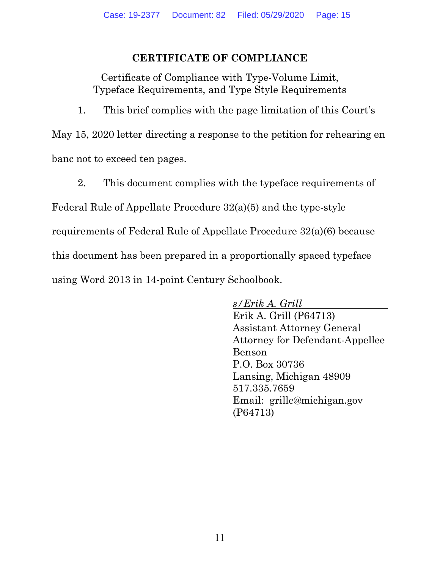### **CERTIFICATE OF COMPLIANCE**

<span id="page-14-0"></span>Certificate of Compliance with Type-Volume Limit, Typeface Requirements, and Type Style Requirements

1. This brief complies with the page limitation of this Court's

May 15, 2020 letter directing a response to the petition for rehearing en banc not to exceed ten pages.

2. This document complies with the typeface requirements of

Federal Rule of Appellate Procedure 32(a)(5) and the type-style requirements of Federal Rule of Appellate Procedure 32(a)(6) because this document has been prepared in a proportionally spaced typeface using Word 2013 in 14-point Century Schoolbook.

> *s/Erik A. Grill* Erik A. Grill (P64713) Assistant Attorney General Attorney for Defendant-Appellee Benson P.O. Box 30736 Lansing, Michigan 48909 517.335.7659 Email: grille@michigan.gov (P64713)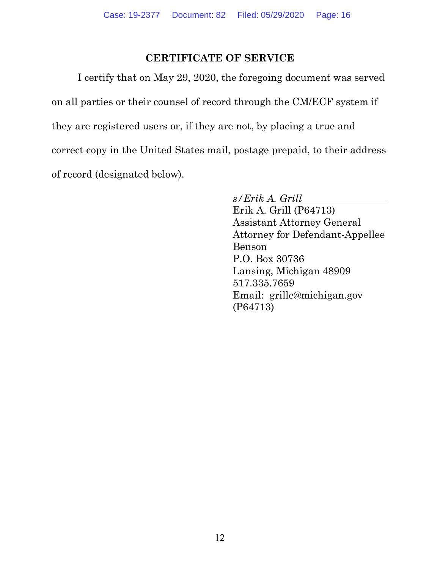### **CERTIFICATE OF SERVICE**

<span id="page-15-0"></span>I certify that on May 29, 2020, the foregoing document was served on all parties or their counsel of record through the CM/ECF system if they are registered users or, if they are not, by placing a true and correct copy in the United States mail, postage prepaid, to their address of record (designated below).

> *s/Erik A. Grill* Erik A. Grill (P64713) Assistant Attorney General Attorney for Defendant-Appellee Benson P.O. Box 30736 Lansing, Michigan 48909 517.335.7659 Email: grille@michigan.gov (P64713)